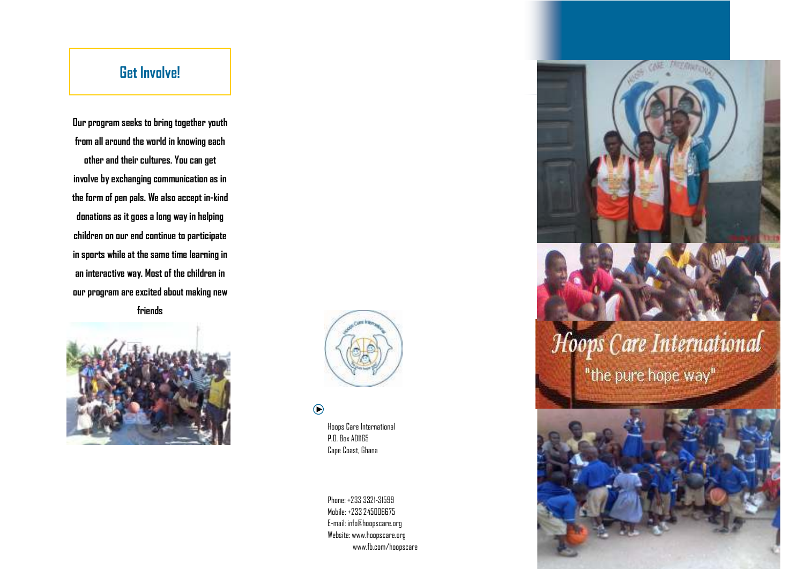# **Get Involve!**

**Our program seeks to bring together youth from all around the world in knowing each other and their cultures. You can get involve by exchanging communication as in the form of pen pals. We also accept in-kind donations as it goes a long way in helping children on our end continue to participate in sports while at the same time learning in an interactive way. Most of the children in our program are excited about making new friends** 





## $\odot$

Hoops Care International P.O. Box AD1165 Cape Coast, Ghana

Phone: +233 3321-31599 Mobile: +233 245006675 E-mail: info@hoopscare.org Website: www.hoopscare.org www.fb.com/hoopscare



# Hoops Care International

"the pure hope way"